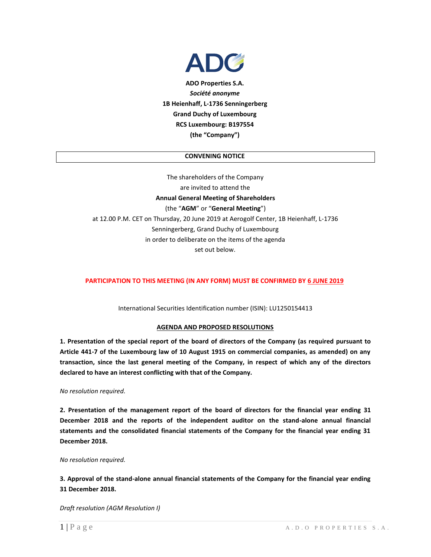

**ADO Properties S.A.** *Société anonyme* **1B Heienhaff, L-1736 Senningerberg Grand Duchy of Luxembourg RCS Luxembourg: B197554 (the "Company")**

# **CONVENING NOTICE**

The shareholders of the Company are invited to attend the **Annual General Meeting of Shareholders**  (the "**AGM**" or "**General Meeting**") at 12.00 P.M. CET on Thursday, 20 June 2019 at Aerogolf Center, 1B Heienhaff, L-1736 Senningerberg, Grand Duchy of Luxembourg in order to deliberate on the items of the agenda set out below.

### **PARTICIPATION TO THIS MEETING (IN ANY FORM) MUST BE CONFIRMED BY 6 JUNE 2019**

International Securities Identification number (ISIN): LU1250154413

### **AGENDA AND PROPOSED RESOLUTIONS**

**1. Presentation of the special report of the board of directors of the Company (as required pursuant to Article 441-7 of the Luxembourg law of 10 August 1915 on commercial companies, as amended) on any transaction, since the last general meeting of the Company, in respect of which any of the directors declared to have an interest conflicting with that of the Company.**

#### *No resolution required.*

**2. Presentation of the management report of the board of directors for the financial year ending 31 December 2018 and the reports of the independent auditor on the stand-alone annual financial statements and the consolidated financial statements of the Company for the financial year ending 31 December 2018.**

#### *No resolution required.*

**3. Approval of the stand-alone annual financial statements of the Company for the financial year ending 31 December 2018.** 

*Draft resolution (AGM Resolution I)*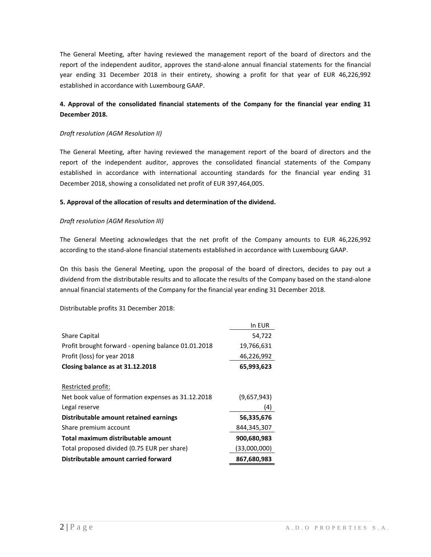The General Meeting, after having reviewed the management report of the board of directors and the report of the independent auditor, approves the stand-alone annual financial statements for the financial year ending 31 December 2018 in their entirety, showing a profit for that year of EUR 46,226,992 established in accordance with Luxembourg GAAP.

# **4. Approval of the consolidated financial statements of the Company for the financial year ending 31 December 2018.**

## *Draft resolution (AGM Resolution II)*

The General Meeting, after having reviewed the management report of the board of directors and the report of the independent auditor, approves the consolidated financial statements of the Company established in accordance with international accounting standards for the financial year ending 31 December 2018, showing a consolidated net profit of EUR 397,464,005.

# **5. Approval of the allocation of results and determination of the dividend.**

# *Draft resolution (AGM Resolution III)*

The General Meeting acknowledges that the net profit of the Company amounts to EUR 46,226,992 according to the stand-alone financial statements established in accordance with Luxembourg GAAP.

On this basis the General Meeting, upon the proposal of the board of directors, decides to pay out a dividend from the distributable results and to allocate the results of the Company based on the stand-alone annual financial statements of the Company for the financial year ending 31 December 2018.

Distributable profits 31 December 2018:

|                                                     | In EUR       |
|-----------------------------------------------------|--------------|
| <b>Share Capital</b>                                | 54,722       |
| Profit brought forward - opening balance 01.01.2018 | 19,766,631   |
| Profit (loss) for year 2018                         | 46,226,992   |
| Closing balance as at 31.12.2018                    | 65,993,623   |
| Restricted profit:                                  |              |
| Net book value of formation expenses as 31.12.2018  | (9,657,943)  |
| Legal reserve                                       | (4)          |
| Distributable amount retained earnings              | 56,335,676   |
| Share premium account                               | 844,345,307  |
| Total maximum distributable amount                  | 900,680,983  |
| Total proposed divided (0.75 EUR per share)         | (33,000,000) |
| Distributable amount carried forward                | 867,680,983  |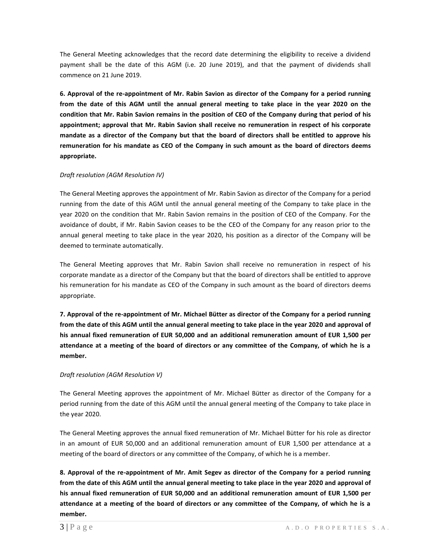The General Meeting acknowledges that the record date determining the eligibility to receive a dividend payment shall be the date of this AGM (i.e. 20 June 2019), and that the payment of dividends shall commence on 21 June 2019.

**6. Approval of the re-appointment of Mr. Rabin Savion as director of the Company for a period running from the date of this AGM until the annual general meeting to take place in the year 2020 on the condition that Mr. Rabin Savion remains in the position of CEO of the Company during that period of his appointment; approval that Mr. Rabin Savion shall receive no remuneration in respect of his corporate mandate as a director of the Company but that the board of directors shall be entitled to approve his remuneration for his mandate as CEO of the Company in such amount as the board of directors deems appropriate.**

# *Draft resolution (AGM Resolution IV)*

The General Meeting approves the appointment of Mr. Rabin Savion as director of the Company for a period running from the date of this AGM until the annual general meeting of the Company to take place in the year 2020 on the condition that Mr. Rabin Savion remains in the position of CEO of the Company. For the avoidance of doubt, if Mr. Rabin Savion ceases to be the CEO of the Company for any reason prior to the annual general meeting to take place in the year 2020, his position as a director of the Company will be deemed to terminate automatically.

The General Meeting approves that Mr. Rabin Savion shall receive no remuneration in respect of his corporate mandate as a director of the Company but that the board of directors shall be entitled to approve his remuneration for his mandate as CEO of the Company in such amount as the board of directors deems appropriate.

**7. Approval of the re-appointment of Mr. Michael Bütter as director of the Company for a period running from the date of this AGM until the annual general meeting to take place in the year 2020 and approval of his annual fixed remuneration of EUR 50,000 and an additional remuneration amount of EUR 1,500 per attendance at a meeting of the board of directors or any committee of the Company, of which he is a member.** 

# *Draft resolution (AGM Resolution V)*

The General Meeting approves the appointment of Mr. Michael Bütter as director of the Company for a period running from the date of this AGM until the annual general meeting of the Company to take place in the year 2020.

The General Meeting approves the annual fixed remuneration of Mr. Michael Bütter for his role as director in an amount of EUR 50,000 and an additional remuneration amount of EUR 1,500 per attendance at a meeting of the board of directors or any committee of the Company, of which he is a member.

**8. Approval of the re-appointment of Mr. Amit Segev as director of the Company for a period running from the date of this AGM until the annual general meeting to take place in the year 2020 and approval of his annual fixed remuneration of EUR 50,000 and an additional remuneration amount of EUR 1,500 per attendance at a meeting of the board of directors or any committee of the Company, of which he is a member.**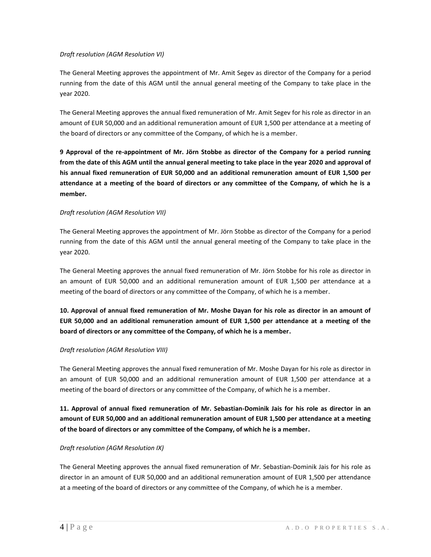# *Draft resolution (AGM Resolution VI)*

The General Meeting approves the appointment of Mr. Amit Segev as director of the Company for a period running from the date of this AGM until the annual general meeting of the Company to take place in the year 2020.

The General Meeting approves the annual fixed remuneration of Mr. Amit Segev for his role as director in an amount of EUR 50,000 and an additional remuneration amount of EUR 1,500 per attendance at a meeting of the board of directors or any committee of the Company, of which he is a member.

**9 Approval of the re-appointment of Mr. Jörn Stobbe as director of the Company for a period running from the date of this AGM until the annual general meeting to take place in the year 2020 and approval of his annual fixed remuneration of EUR 50,000 and an additional remuneration amount of EUR 1,500 per attendance at a meeting of the board of directors or any committee of the Company, of which he is a member.**

# *Draft resolution (AGM Resolution VII)*

The General Meeting approves the appointment of Mr. Jörn Stobbe as director of the Company for a period running from the date of this AGM until the annual general meeting of the Company to take place in the year 2020.

The General Meeting approves the annual fixed remuneration of Mr. Jörn Stobbe for his role as director in an amount of EUR 50,000 and an additional remuneration amount of EUR 1,500 per attendance at a meeting of the board of directors or any committee of the Company, of which he is a member.

**10. Approval of annual fixed remuneration of Mr. Moshe Dayan for his role as director in an amount of EUR 50,000 and an additional remuneration amount of EUR 1,500 per attendance at a meeting of the board of directors or any committee of the Company, of which he is a member.** 

### *Draft resolution (AGM Resolution VIII)*

The General Meeting approves the annual fixed remuneration of Mr. Moshe Dayan for his role as director in an amount of EUR 50,000 and an additional remuneration amount of EUR 1,500 per attendance at a meeting of the board of directors or any committee of the Company, of which he is a member.

**11. Approval of annual fixed remuneration of Mr. Sebastian-Dominik Jais for his role as director in an amount of EUR 50,000 and an additional remuneration amount of EUR 1,500 per attendance at a meeting of the board of directors or any committee of the Company, of which he is a member.** 

### *Draft resolution (AGM Resolution IX)*

The General Meeting approves the annual fixed remuneration of Mr. Sebastian-Dominik Jais for his role as director in an amount of EUR 50,000 and an additional remuneration amount of EUR 1,500 per attendance at a meeting of the board of directors or any committee of the Company, of which he is a member.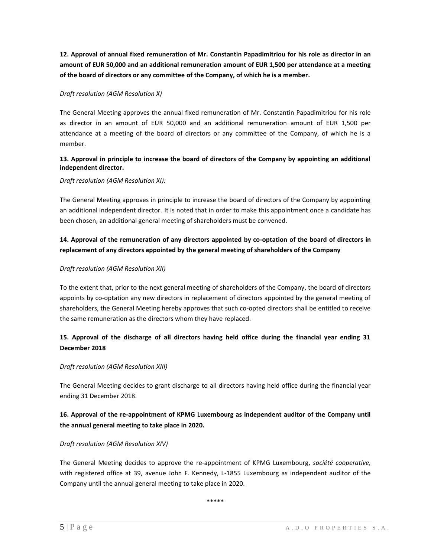**12. Approval of annual fixed remuneration of Mr. Constantin Papadimitriou for his role as director in an amount of EUR 50,000 and an additional remuneration amount of EUR 1,500 per attendance at a meeting of the board of directors or any committee of the Company, of which he is a member.** 

# *Draft resolution (AGM Resolution X)*

The General Meeting approves the annual fixed remuneration of Mr. Constantin Papadimitriou for his role as director in an amount of EUR 50,000 and an additional remuneration amount of EUR 1,500 per attendance at a meeting of the board of directors or any committee of the Company, of which he is a member.

# **13. Approval in principle to increase the board of directors of the Company by appointing an additional independent director.**

# *Draft resolution (AGM Resolution XI):*

The General Meeting approves in principle to increase the board of directors of the Company by appointing an additional independent director. It is noted that in order to make this appointment once a candidate has been chosen, an additional general meeting of shareholders must be convened.

# **14. Approval of the remuneration of any directors appointed by co-optation of the board of directors in replacement of any directors appointed by the general meeting of shareholders of the Company**

# *Draft resolution (AGM Resolution XII)*

To the extent that, prior to the next general meeting of shareholders of the Company, the board of directors appoints by co-optation any new directors in replacement of directors appointed by the general meeting of shareholders, the General Meeting hereby approves that such co-opted directors shall be entitled to receive the same remuneration as the directors whom they have replaced.

# **15. Approval of the discharge of all directors having held office during the financial year ending 31 December 2018**

## *Draft resolution (AGM Resolution XIII)*

The General Meeting decides to grant discharge to all directors having held office during the financial year ending 31 December 2018.

# **16. Approval of the re-appointment of KPMG Luxembourg as independent auditor of the Company until the annual general meeting to take place in 2020.**

### *Draft resolution (AGM Resolution XIV)*

The General Meeting decides to approve the re-appointment of KPMG Luxembourg, *société cooperative,* with registered office at 39, avenue John F. Kennedy, L-1855 Luxembourg as independent auditor of the Company until the annual general meeting to take place in 2020.

\*\*\*\*\*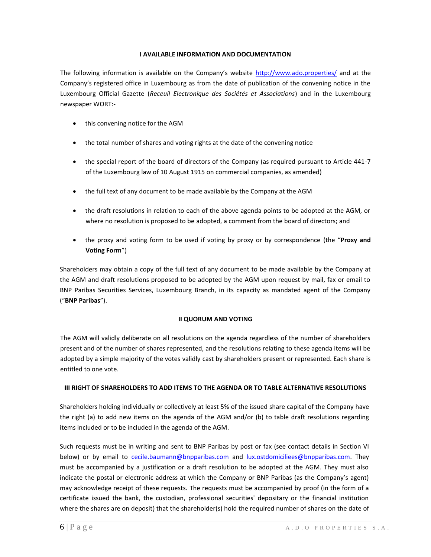# **I AVAILABLE INFORMATION AND DOCUMENTATION**

The following information is available on the Company's website <http://www.ado.properties/> and at the Company's registered office in Luxembourg as from the date of publication of the convening notice in the Luxembourg Official Gazette (*Receuil Electronique des Sociétés et Associations*) and in the Luxembourg newspaper WORT:-

- this convening notice for the AGM
- the total number of shares and voting rights at the date of the convening notice
- the special report of the board of directors of the Company (as required pursuant to Article 441-7 of the Luxembourg law of 10 August 1915 on commercial companies, as amended)
- the full text of any document to be made available by the Company at the AGM
- the draft resolutions in relation to each of the above agenda points to be adopted at the AGM, or where no resolution is proposed to be adopted, a comment from the board of directors; and
- the proxy and voting form to be used if voting by proxy or by correspondence (the "**Proxy and Voting Form**")

Shareholders may obtain a copy of the full text of any document to be made available by the Company at the AGM and draft resolutions proposed to be adopted by the AGM upon request by mail, fax or email to BNP Paribas Securities Services, Luxembourg Branch, in its capacity as mandated agent of the Company ("**BNP Paribas**").

# **II QUORUM AND VOTING**

The AGM will validly deliberate on all resolutions on the agenda regardless of the number of shareholders present and of the number of shares represented, and the resolutions relating to these agenda items will be adopted by a simple majority of the votes validly cast by shareholders present or represented. Each share is entitled to one vote.

### **III RIGHT OF SHAREHOLDERS TO ADD ITEMS TO THE AGENDA OR TO TABLE ALTERNATIVE RESOLUTIONS**

Shareholders holding individually or collectively at least 5% of the issued share capital of the Company have the right (a) to add new items on the agenda of the AGM and/or (b) to table draft resolutions regarding items included or to be included in the agenda of the AGM.

Such requests must be in writing and sent to BNP Paribas by post or fax (see contact details in Section VI below) or by email to [cecile.baumann@bnpparibas.com](mailto:cecile.baumann@bnpparibas.com) and [lux.ostdomiciliees@bnpparibas.com.](mailto:lux.ostdomiciliees@bnpparibas.com) They must be accompanied by a justification or a draft resolution to be adopted at the AGM. They must also indicate the postal or electronic address at which the Company or BNP Paribas (as the Company's agent) may acknowledge receipt of these requests. The requests must be accompanied by proof (in the form of a certificate issued the bank, the custodian, professional securities' depositary or the financial institution where the shares are on deposit) that the shareholder(s) hold the required number of shares on the date of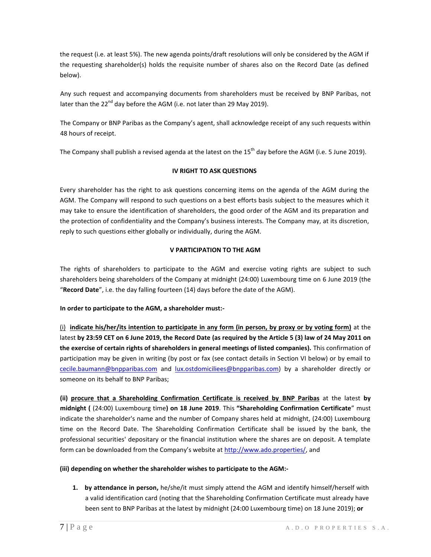the request (i.e. at least 5%). The new agenda points/draft resolutions will only be considered by the AGM if the requesting shareholder(s) holds the requisite number of shares also on the Record Date (as defined below).

Any such request and accompanying documents from shareholders must be received by BNP Paribas, not later than the 22 $^{nd}$  day before the AGM (i.e. not later than 29 May 2019).

The Company or BNP Paribas as the Company's agent, shall acknowledge receipt of any such requests within 48 hours of receipt.

The Company shall publish a revised agenda at the latest on the 15<sup>th</sup> day before the AGM (i.e. 5 June 2019).

# **IV RIGHT TO ASK QUESTIONS**

Every shareholder has the right to ask questions concerning items on the agenda of the AGM during the AGM. The Company will respond to such questions on a best efforts basis subject to the measures which it may take to ensure the identification of shareholders, the good order of the AGM and its preparation and the protection of confidentiality and the Company's business interests. The Company may, at its discretion, reply to such questions either globally or individually, during the AGM.

# **V PARTICIPATION TO THE AGM**

The rights of shareholders to participate to the AGM and exercise voting rights are subject to such shareholders being shareholders of the Company at midnight (24:00) Luxembourg time on 6 June 2019 (the "**Record Date**", i.e. the day falling fourteen (14) days before the date of the AGM).

# **In order to participate to the AGM, a shareholder must:-**

(i) **indicate his/her/its intention to participate in any form (in person, by proxy or by voting form)** at the latest **by 23:59 CET on 6 June 2019, the Record Date (as required by the Article 5 (3) law of 24 May 2011 on the exercise of certain rights of shareholders in general meetings of listed companies).** This confirmation of participation may be given in writing (by post or fax (see contact details in Section VI below) or by email to [cecile.baumann@bnpparibas.com](mailto:cecile.baumann@bnpparibas.com) and [lux.ostdomiciliees@bnpparibas.com\)](mailto:lux.ostdomiciliees@bnpparibas.com) by a shareholder directly or someone on its behalf to BNP Paribas;

**(ii) procure that a Shareholding Confirmation Certificate is received by BNP Paribas** at the latest **by midnight (** (24:00) Luxembourg time**) on 18 June 2019**. This **"Shareholding Confirmation Certificate**" must indicate the shareholder's name and the number of Company shares held at midnight, (24:00) Luxembourg time on the Record Date. The Shareholding Confirmation Certificate shall be issued by the bank, the professional securities' depositary or the financial institution where the shares are on deposit. A template form can be downloaded from the Company's website at [http://www.ado.properties/,](http://www.ado.properties/) and

### **(iii) depending on whether the shareholder wishes to participate to the AGM:-**

**1. by attendance in person,** he/she/it must simply attend the AGM and identify himself/herself with a valid identification card (noting that the Shareholding Confirmation Certificate must already have been sent to BNP Paribas at the latest by midnight (24:00 Luxembourg time) on 18 June 2019); **or**